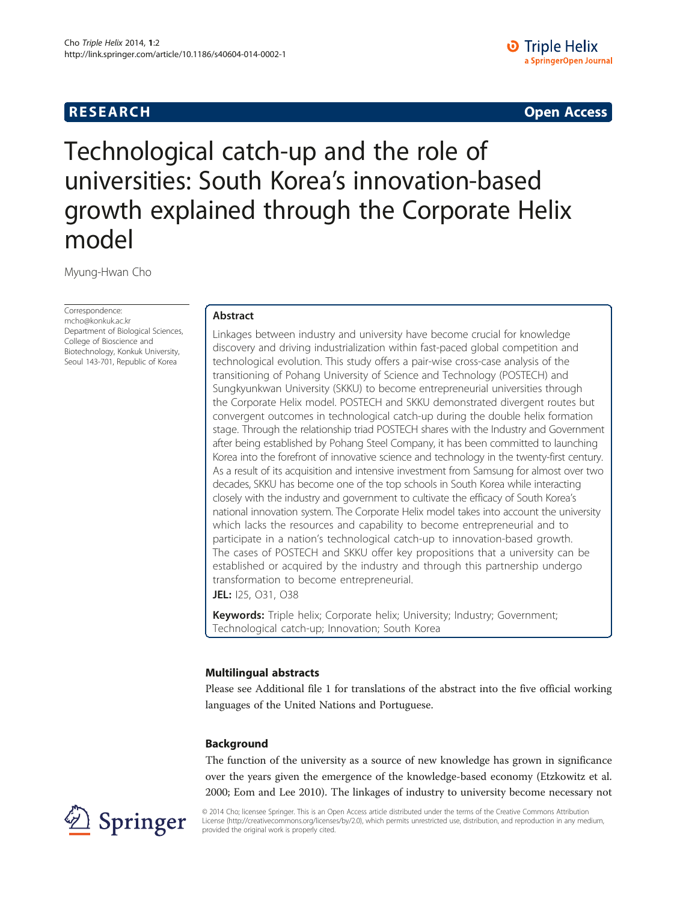# <span id="page-0-0"></span>**RESEARCH RESEARCH CONSUMING ACCESS**

# Technological catch-up and the role of universities: South Korea's innovation-based growth explained through the Corporate Helix model

Myung-Hwan Cho

Correspondence: [mcho@konkuk.ac.kr](mailto:mcho@konkuk.ac.kr) Department of Biological Sciences, College of Bioscience and Biotechnology, Konkuk University, Seoul 143-701, Republic of Korea

# Abstract

Linkages between industry and university have become crucial for knowledge discovery and driving industrialization within fast-paced global competition and technological evolution. This study offers a pair-wise cross-case analysis of the transitioning of Pohang University of Science and Technology (POSTECH) and Sungkyunkwan University (SKKU) to become entrepreneurial universities through the Corporate Helix model. POSTECH and SKKU demonstrated divergent routes but convergent outcomes in technological catch-up during the double helix formation stage. Through the relationship triad POSTECH shares with the Industry and Government after being established by Pohang Steel Company, it has been committed to launching Korea into the forefront of innovative science and technology in the twenty-first century. As a result of its acquisition and intensive investment from Samsung for almost over two decades, SKKU has become one of the top schools in South Korea while interacting closely with the industry and government to cultivate the efficacy of South Korea's national innovation system. The Corporate Helix model takes into account the university which lacks the resources and capability to become entrepreneurial and to participate in a nation's technological catch-up to innovation-based growth. The cases of POSTECH and SKKU offer key propositions that a university can be established or acquired by the industry and through this partnership undergo transformation to become entrepreneurial. JEL: 125, 031, 038

Keywords: Triple helix; Corporate helix; University; Industry; Government; Technological catch-up; Innovation; South Korea

# Multilingual abstracts

Please see Additional file [1](#page-17-0) for translations of the abstract into the five official working languages of the United Nations and Portuguese.

# Background

The function of the university as a source of new knowledge has grown in significance over the years given the emergence of the knowledge-based economy (Etzkowitz et al. [2000](#page-18-0); Eom and Lee [2010\)](#page-18-0). The linkages of industry to university become necessary not

Springer

© 2014 Cho; licensee Springer. This is an Open Access article distributed under the terms of the Creative Commons Attribution License [\(http://creativecommons.org/licenses/by/2.0\)](http://creativecommons.org/licenses/by/2.0), which permits unrestricted use, distribution, and reproduction in any medium, provided the original work is properly cited.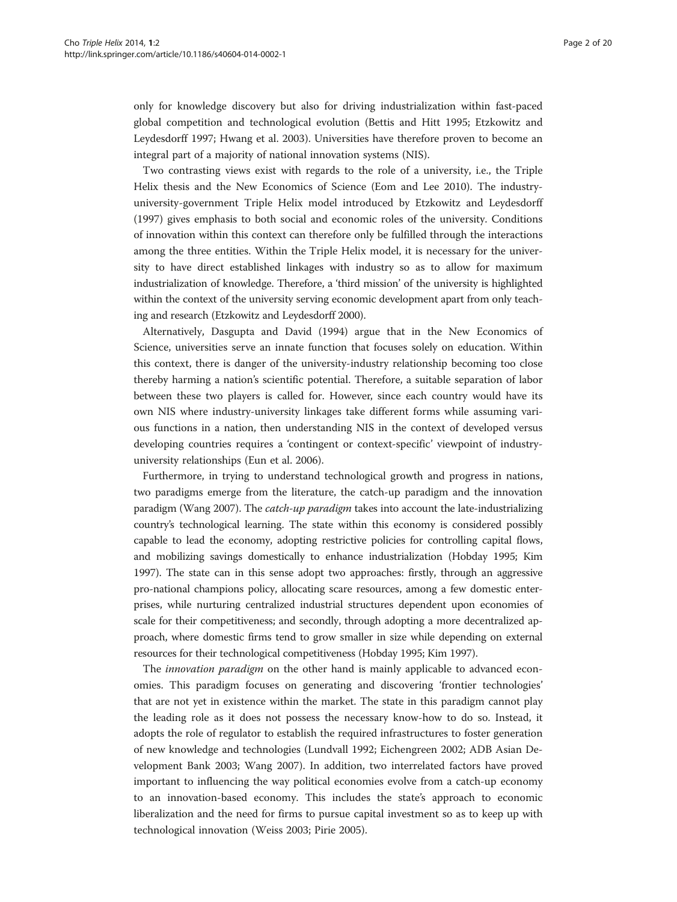only for knowledge discovery but also for driving industrialization within fast-paced global competition and technological evolution (Bettis and Hitt [1995;](#page-18-0) Etzkowitz and Leydesdorff [1997;](#page-18-0) Hwang et al. [2003](#page-18-0)). Universities have therefore proven to become an integral part of a majority of national innovation systems (NIS).

Two contrasting views exist with regards to the role of a university, i.e., the Triple Helix thesis and the New Economics of Science (Eom and Lee [2010](#page-18-0)). The industryuniversity-government Triple Helix model introduced by Etzkowitz and Leydesdorff ([1997](#page-18-0)) gives emphasis to both social and economic roles of the university. Conditions of innovation within this context can therefore only be fulfilled through the interactions among the three entities. Within the Triple Helix model, it is necessary for the university to have direct established linkages with industry so as to allow for maximum industrialization of knowledge. Therefore, a 'third mission' of the university is highlighted within the context of the university serving economic development apart from only teaching and research (Etzkowitz and Leydesdorff [2000\)](#page-18-0).

Alternatively, Dasgupta and David [\(1994](#page-18-0)) argue that in the New Economics of Science, universities serve an innate function that focuses solely on education. Within this context, there is danger of the university-industry relationship becoming too close thereby harming a nation's scientific potential. Therefore, a suitable separation of labor between these two players is called for. However, since each country would have its own NIS where industry-university linkages take different forms while assuming various functions in a nation, then understanding NIS in the context of developed versus developing countries requires a 'contingent or context-specific' viewpoint of industryuniversity relationships (Eun et al. [2006\)](#page-18-0).

Furthermore, in trying to understand technological growth and progress in nations, two paradigms emerge from the literature, the catch-up paradigm and the innovation paradigm (Wang [2007](#page-19-0)). The catch-up paradigm takes into account the late-industrializing country's technological learning. The state within this economy is considered possibly capable to lead the economy, adopting restrictive policies for controlling capital flows, and mobilizing savings domestically to enhance industrialization (Hobday [1995](#page-18-0); Kim [1997\)](#page-18-0). The state can in this sense adopt two approaches: firstly, through an aggressive pro-national champions policy, allocating scare resources, among a few domestic enterprises, while nurturing centralized industrial structures dependent upon economies of scale for their competitiveness; and secondly, through adopting a more decentralized approach, where domestic firms tend to grow smaller in size while depending on external resources for their technological competitiveness (Hobday [1995;](#page-18-0) Kim [1997](#page-18-0)).

The *innovation paradigm* on the other hand is mainly applicable to advanced economies. This paradigm focuses on generating and discovering 'frontier technologies' that are not yet in existence within the market. The state in this paradigm cannot play the leading role as it does not possess the necessary know-how to do so. Instead, it adopts the role of regulator to establish the required infrastructures to foster generation of new knowledge and technologies (Lundvall [1992](#page-18-0); Eichengreen [2002;](#page-18-0) ADB Asian Development Bank [2003;](#page-18-0) Wang [2007](#page-19-0)). In addition, two interrelated factors have proved important to influencing the way political economies evolve from a catch-up economy to an innovation-based economy. This includes the state's approach to economic liberalization and the need for firms to pursue capital investment so as to keep up with technological innovation (Weiss [2003;](#page-19-0) Pirie [2005\)](#page-19-0).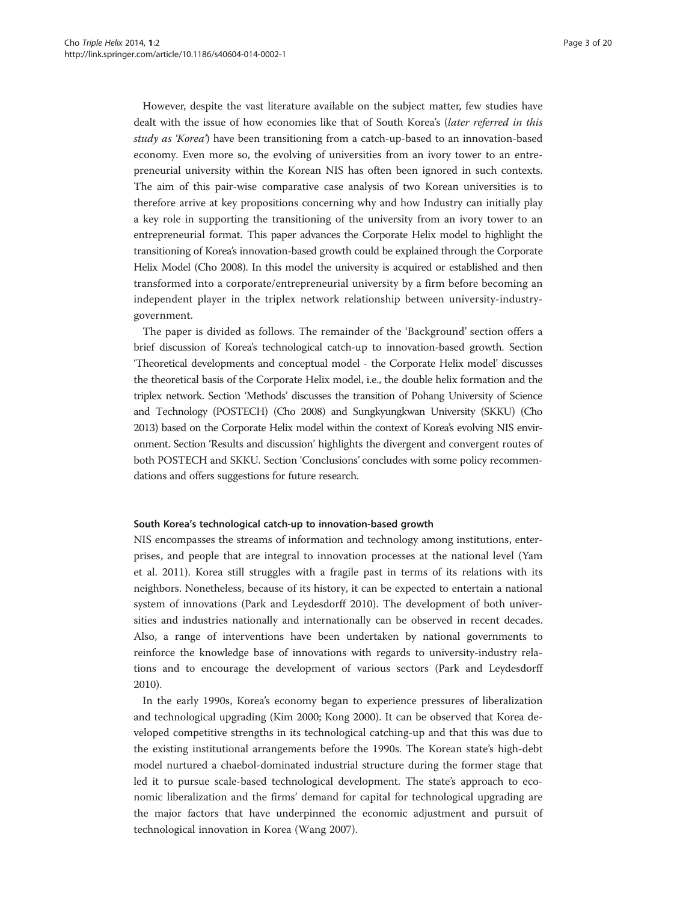However, despite the vast literature available on the subject matter, few studies have dealt with the issue of how economies like that of South Korea's (later referred in this study as 'Korea') have been transitioning from a catch-up-based to an innovation-based economy. Even more so, the evolving of universities from an ivory tower to an entrepreneurial university within the Korean NIS has often been ignored in such contexts. The aim of this pair-wise comparative case analysis of two Korean universities is to therefore arrive at key propositions concerning why and how Industry can initially play a key role in supporting the transitioning of the university from an ivory tower to an entrepreneurial format. This paper advances the Corporate Helix model to highlight the transitioning of Korea's innovation-based growth could be explained through the Corporate Helix Model (Cho [2008](#page-18-0)). In this model the university is acquired or established and then transformed into a corporate/entrepreneurial university by a firm before becoming an independent player in the triplex network relationship between university-industrygovernment.

The paper is divided as follows. The remainder of the '[Background](#page-0-0)' section offers a brief discussion of Korea's technological catch-up to innovation-based growth. Section '[Theoretical developments and conceptual model - the Corporate Helix model](#page-4-0)' discusses the theoretical basis of the Corporate Helix model, i.e., the double helix formation and the triplex network. Section '[Methods](#page-7-0)' discusses the transition of Pohang University of Science and Technology (POSTECH) (Cho [2008\)](#page-18-0) and Sungkyungkwan University (SKKU) (Cho [2013](#page-18-0)) based on the Corporate Helix model within the context of Korea's evolving NIS environment. Section '[Results and discussion](#page-8-0)' highlights the divergent and convergent routes of both POSTECH and SKKU. Section '[Conclusions](#page-15-0)' concludes with some policy recommendations and offers suggestions for future research.

# South Korea's technological catch-up to innovation-based growth

NIS encompasses the streams of information and technology among institutions, enterprises, and people that are integral to innovation processes at the national level (Yam et al. [2011](#page-19-0)). Korea still struggles with a fragile past in terms of its relations with its neighbors. Nonetheless, because of its history, it can be expected to entertain a national system of innovations (Park and Leydesdorff [2010\)](#page-18-0). The development of both universities and industries nationally and internationally can be observed in recent decades. Also, a range of interventions have been undertaken by national governments to reinforce the knowledge base of innovations with regards to university-industry relations and to encourage the development of various sectors (Park and Leydesdorff [2010](#page-18-0)).

In the early 1990s, Korea's economy began to experience pressures of liberalization and technological upgrading (Kim [2000;](#page-18-0) Kong [2000](#page-18-0)). It can be observed that Korea developed competitive strengths in its technological catching-up and that this was due to the existing institutional arrangements before the 1990s. The Korean state's high-debt model nurtured a chaebol-dominated industrial structure during the former stage that led it to pursue scale-based technological development. The state's approach to economic liberalization and the firms' demand for capital for technological upgrading are the major factors that have underpinned the economic adjustment and pursuit of technological innovation in Korea (Wang [2007\)](#page-19-0).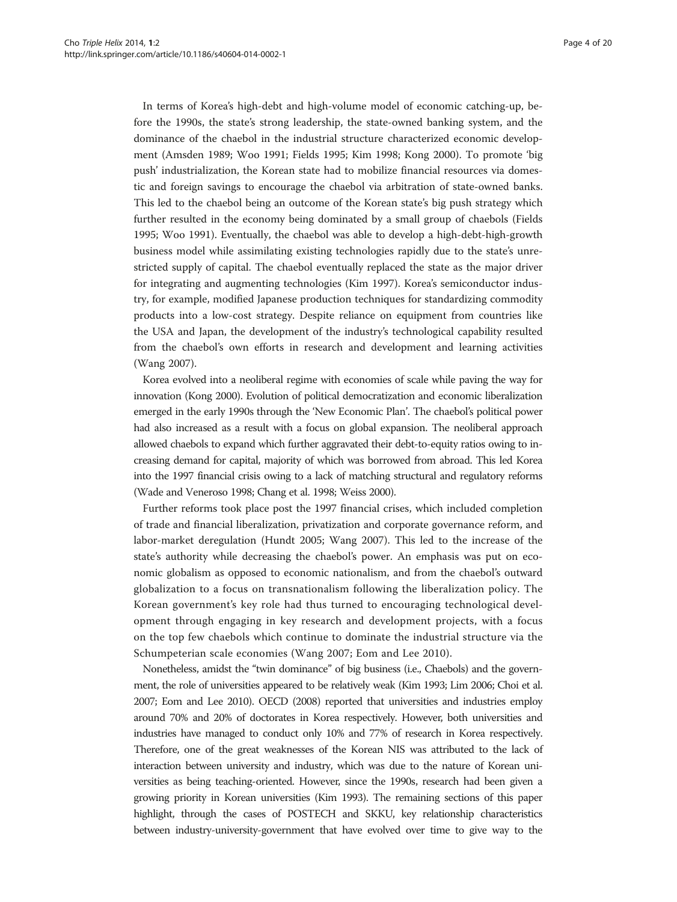In terms of Korea's high-debt and high-volume model of economic catching-up, before the 1990s, the state's strong leadership, the state-owned banking system, and the dominance of the chaebol in the industrial structure characterized economic development (Amsden [1989;](#page-18-0) Woo [1991;](#page-19-0) Fields [1995](#page-18-0); Kim [1998](#page-18-0); Kong [2000\)](#page-18-0). To promote 'big push' industrialization, the Korean state had to mobilize financial resources via domestic and foreign savings to encourage the chaebol via arbitration of state-owned banks. This led to the chaebol being an outcome of the Korean state's big push strategy which further resulted in the economy being dominated by a small group of chaebols (Fields [1995](#page-18-0); Woo [1991\)](#page-19-0). Eventually, the chaebol was able to develop a high-debt-high-growth business model while assimilating existing technologies rapidly due to the state's unrestricted supply of capital. The chaebol eventually replaced the state as the major driver for integrating and augmenting technologies (Kim [1997](#page-18-0)). Korea's semiconductor industry, for example, modified Japanese production techniques for standardizing commodity products into a low-cost strategy. Despite reliance on equipment from countries like the USA and Japan, the development of the industry's technological capability resulted from the chaebol's own efforts in research and development and learning activities (Wang [2007\)](#page-19-0).

Korea evolved into a neoliberal regime with economies of scale while paving the way for innovation (Kong [2000\)](#page-18-0). Evolution of political democratization and economic liberalization emerged in the early 1990s through the 'New Economic Plan'. The chaebol's political power had also increased as a result with a focus on global expansion. The neoliberal approach allowed chaebols to expand which further aggravated their debt-to-equity ratios owing to increasing demand for capital, majority of which was borrowed from abroad. This led Korea into the 1997 financial crisis owing to a lack of matching structural and regulatory reforms (Wade and Veneroso [1998;](#page-19-0) Chang et al. [1998](#page-18-0); Weiss [2000\)](#page-19-0).

Further reforms took place post the 1997 financial crises, which included completion of trade and financial liberalization, privatization and corporate governance reform, and labor-market deregulation (Hundt [2005](#page-18-0); Wang [2007\)](#page-19-0). This led to the increase of the state's authority while decreasing the chaebol's power. An emphasis was put on economic globalism as opposed to economic nationalism, and from the chaebol's outward globalization to a focus on transnationalism following the liberalization policy. The Korean government's key role had thus turned to encouraging technological development through engaging in key research and development projects, with a focus on the top few chaebols which continue to dominate the industrial structure via the Schumpeterian scale economies (Wang [2007](#page-19-0); Eom and Lee [2010](#page-18-0)).

Nonetheless, amidst the "twin dominance" of big business (i.e., Chaebols) and the government, the role of universities appeared to be relatively weak (Kim [1993;](#page-18-0) Lim [2006](#page-18-0); Choi et al. [2007](#page-18-0); Eom and Lee [2010\)](#page-18-0). OECD ([2008](#page-18-0)) reported that universities and industries employ around 70% and 20% of doctorates in Korea respectively. However, both universities and industries have managed to conduct only 10% and 77% of research in Korea respectively. Therefore, one of the great weaknesses of the Korean NIS was attributed to the lack of interaction between university and industry, which was due to the nature of Korean universities as being teaching-oriented. However, since the 1990s, research had been given a growing priority in Korean universities (Kim [1993](#page-18-0)). The remaining sections of this paper highlight, through the cases of POSTECH and SKKU, key relationship characteristics between industry-university-government that have evolved over time to give way to the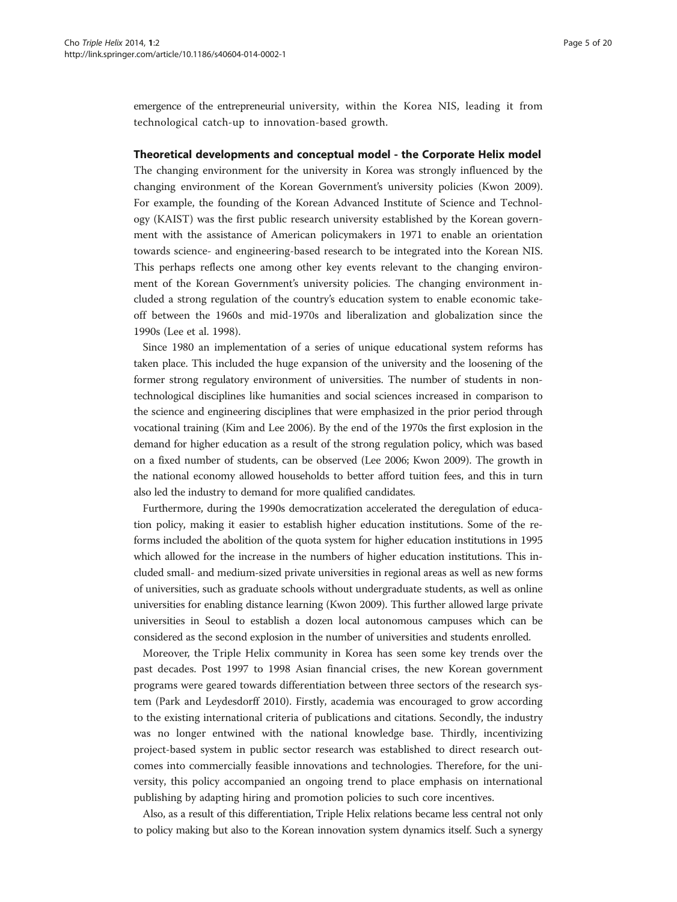<span id="page-4-0"></span>emergence of the entrepreneurial university, within the Korea NIS, leading it from technological catch-up to innovation-based growth.

# Theoretical developments and conceptual model - the Corporate Helix model

The changing environment for the university in Korea was strongly influenced by the changing environment of the Korean Government's university policies (Kwon [2009](#page-18-0)). For example, the founding of the Korean Advanced Institute of Science and Technology (KAIST) was the first public research university established by the Korean government with the assistance of American policymakers in 1971 to enable an orientation towards science- and engineering-based research to be integrated into the Korean NIS. This perhaps reflects one among other key events relevant to the changing environment of the Korean Government's university policies. The changing environment included a strong regulation of the country's education system to enable economic takeoff between the 1960s and mid-1970s and liberalization and globalization since the 1990s (Lee et al. [1998\)](#page-18-0).

Since 1980 an implementation of a series of unique educational system reforms has taken place. This included the huge expansion of the university and the loosening of the former strong regulatory environment of universities. The number of students in nontechnological disciplines like humanities and social sciences increased in comparison to the science and engineering disciplines that were emphasized in the prior period through vocational training (Kim and Lee [2006](#page-18-0)). By the end of the 1970s the first explosion in the demand for higher education as a result of the strong regulation policy, which was based on a fixed number of students, can be observed (Lee [2006;](#page-18-0) Kwon [2009\)](#page-18-0). The growth in the national economy allowed households to better afford tuition fees, and this in turn also led the industry to demand for more qualified candidates.

Furthermore, during the 1990s democratization accelerated the deregulation of education policy, making it easier to establish higher education institutions. Some of the reforms included the abolition of the quota system for higher education institutions in 1995 which allowed for the increase in the numbers of higher education institutions. This included small- and medium-sized private universities in regional areas as well as new forms of universities, such as graduate schools without undergraduate students, as well as online universities for enabling distance learning (Kwon [2009\)](#page-18-0). This further allowed large private universities in Seoul to establish a dozen local autonomous campuses which can be considered as the second explosion in the number of universities and students enrolled.

Moreover, the Triple Helix community in Korea has seen some key trends over the past decades. Post 1997 to 1998 Asian financial crises, the new Korean government programs were geared towards differentiation between three sectors of the research system (Park and Leydesdorff [2010](#page-18-0)). Firstly, academia was encouraged to grow according to the existing international criteria of publications and citations. Secondly, the industry was no longer entwined with the national knowledge base. Thirdly, incentivizing project-based system in public sector research was established to direct research outcomes into commercially feasible innovations and technologies. Therefore, for the university, this policy accompanied an ongoing trend to place emphasis on international publishing by adapting hiring and promotion policies to such core incentives.

Also, as a result of this differentiation, Triple Helix relations became less central not only to policy making but also to the Korean innovation system dynamics itself. Such a synergy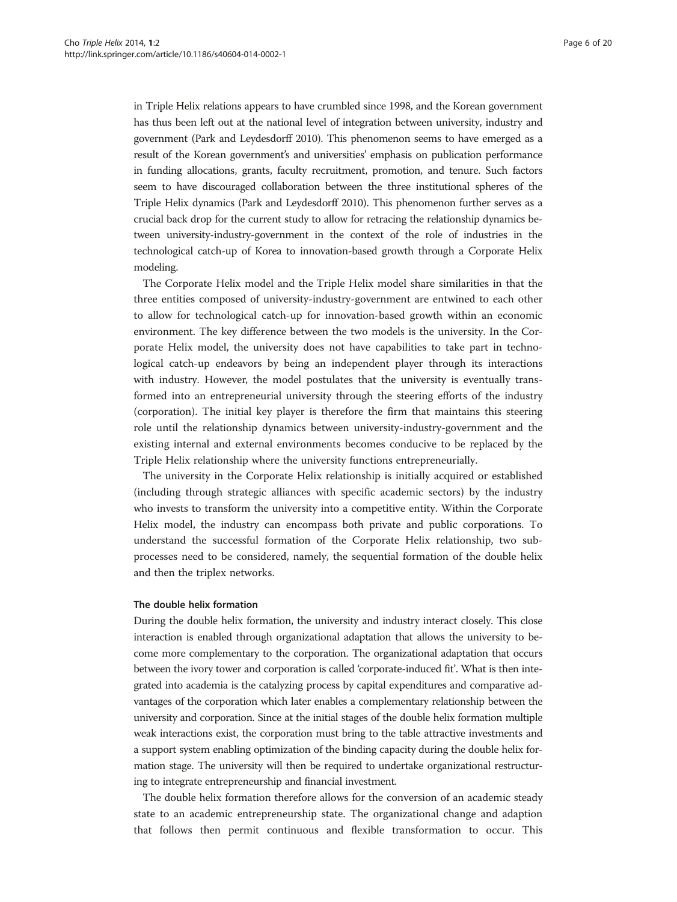in Triple Helix relations appears to have crumbled since 1998, and the Korean government has thus been left out at the national level of integration between university, industry and government (Park and Leydesdorff [2010](#page-18-0)). This phenomenon seems to have emerged as a result of the Korean government's and universities' emphasis on publication performance in funding allocations, grants, faculty recruitment, promotion, and tenure. Such factors seem to have discouraged collaboration between the three institutional spheres of the Triple Helix dynamics (Park and Leydesdorff [2010\)](#page-19-0). This phenomenon further serves as a crucial back drop for the current study to allow for retracing the relationship dynamics between university-industry-government in the context of the role of industries in the technological catch-up of Korea to innovation-based growth through a Corporate Helix modeling.

The Corporate Helix model and the Triple Helix model share similarities in that the three entities composed of university-industry-government are entwined to each other to allow for technological catch-up for innovation-based growth within an economic environment. The key difference between the two models is the university. In the Corporate Helix model, the university does not have capabilities to take part in technological catch-up endeavors by being an independent player through its interactions with industry. However, the model postulates that the university is eventually transformed into an entrepreneurial university through the steering efforts of the industry (corporation). The initial key player is therefore the firm that maintains this steering role until the relationship dynamics between university-industry-government and the existing internal and external environments becomes conducive to be replaced by the Triple Helix relationship where the university functions entrepreneurially.

The university in the Corporate Helix relationship is initially acquired or established (including through strategic alliances with specific academic sectors) by the industry who invests to transform the university into a competitive entity. Within the Corporate Helix model, the industry can encompass both private and public corporations. To understand the successful formation of the Corporate Helix relationship, two subprocesses need to be considered, namely, the sequential formation of the double helix and then the triplex networks.

### The double helix formation

During the double helix formation, the university and industry interact closely. This close interaction is enabled through organizational adaptation that allows the university to become more complementary to the corporation. The organizational adaptation that occurs between the ivory tower and corporation is called 'corporate-induced fit'. What is then integrated into academia is the catalyzing process by capital expenditures and comparative advantages of the corporation which later enables a complementary relationship between the university and corporation. Since at the initial stages of the double helix formation multiple weak interactions exist, the corporation must bring to the table attractive investments and a support system enabling optimization of the binding capacity during the double helix formation stage. The university will then be required to undertake organizational restructuring to integrate entrepreneurship and financial investment.

The double helix formation therefore allows for the conversion of an academic steady state to an academic entrepreneurship state. The organizational change and adaption that follows then permit continuous and flexible transformation to occur. This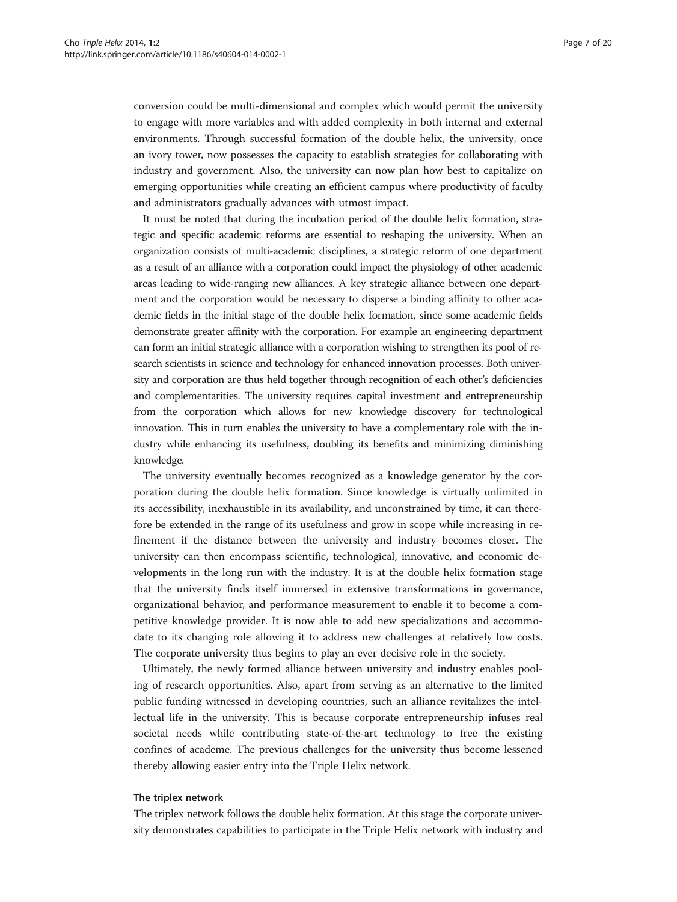conversion could be multi-dimensional and complex which would permit the university to engage with more variables and with added complexity in both internal and external environments. Through successful formation of the double helix, the university, once an ivory tower, now possesses the capacity to establish strategies for collaborating with industry and government. Also, the university can now plan how best to capitalize on emerging opportunities while creating an efficient campus where productivity of faculty and administrators gradually advances with utmost impact.

It must be noted that during the incubation period of the double helix formation, strategic and specific academic reforms are essential to reshaping the university. When an organization consists of multi-academic disciplines, a strategic reform of one department as a result of an alliance with a corporation could impact the physiology of other academic areas leading to wide-ranging new alliances. A key strategic alliance between one department and the corporation would be necessary to disperse a binding affinity to other academic fields in the initial stage of the double helix formation, since some academic fields demonstrate greater affinity with the corporation. For example an engineering department can form an initial strategic alliance with a corporation wishing to strengthen its pool of research scientists in science and technology for enhanced innovation processes. Both university and corporation are thus held together through recognition of each other's deficiencies and complementarities. The university requires capital investment and entrepreneurship from the corporation which allows for new knowledge discovery for technological innovation. This in turn enables the university to have a complementary role with the industry while enhancing its usefulness, doubling its benefits and minimizing diminishing knowledge.

The university eventually becomes recognized as a knowledge generator by the corporation during the double helix formation. Since knowledge is virtually unlimited in its accessibility, inexhaustible in its availability, and unconstrained by time, it can therefore be extended in the range of its usefulness and grow in scope while increasing in refinement if the distance between the university and industry becomes closer. The university can then encompass scientific, technological, innovative, and economic developments in the long run with the industry. It is at the double helix formation stage that the university finds itself immersed in extensive transformations in governance, organizational behavior, and performance measurement to enable it to become a competitive knowledge provider. It is now able to add new specializations and accommodate to its changing role allowing it to address new challenges at relatively low costs. The corporate university thus begins to play an ever decisive role in the society.

Ultimately, the newly formed alliance between university and industry enables pooling of research opportunities. Also, apart from serving as an alternative to the limited public funding witnessed in developing countries, such an alliance revitalizes the intellectual life in the university. This is because corporate entrepreneurship infuses real societal needs while contributing state-of-the-art technology to free the existing confines of academe. The previous challenges for the university thus become lessened thereby allowing easier entry into the Triple Helix network.

# The triplex network

The triplex network follows the double helix formation. At this stage the corporate university demonstrates capabilities to participate in the Triple Helix network with industry and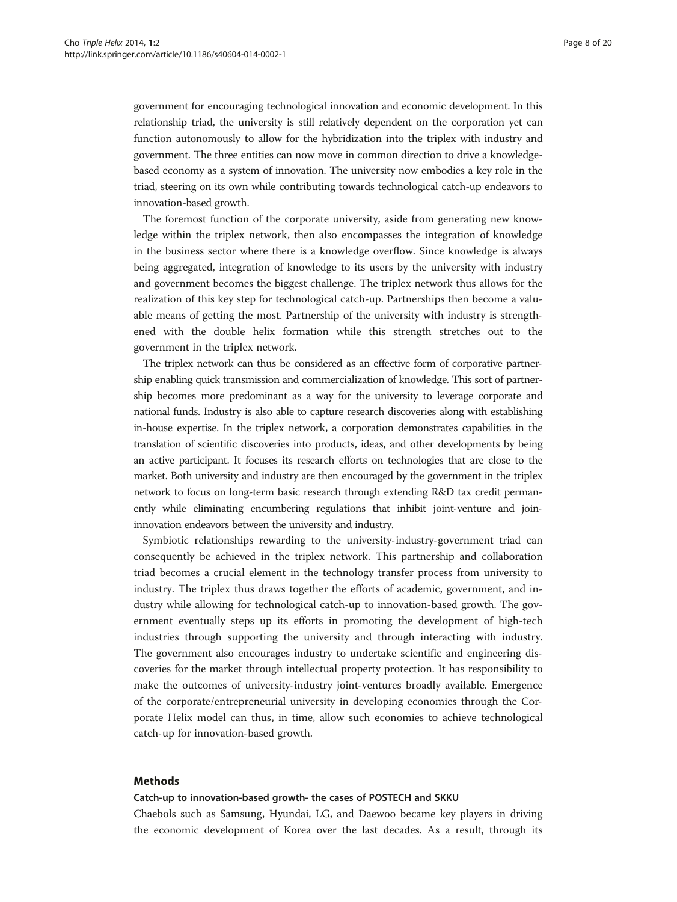<span id="page-7-0"></span>government for encouraging technological innovation and economic development. In this relationship triad, the university is still relatively dependent on the corporation yet can function autonomously to allow for the hybridization into the triplex with industry and government. The three entities can now move in common direction to drive a knowledgebased economy as a system of innovation. The university now embodies a key role in the triad, steering on its own while contributing towards technological catch-up endeavors to innovation-based growth.

The foremost function of the corporate university, aside from generating new knowledge within the triplex network, then also encompasses the integration of knowledge in the business sector where there is a knowledge overflow. Since knowledge is always being aggregated, integration of knowledge to its users by the university with industry and government becomes the biggest challenge. The triplex network thus allows for the realization of this key step for technological catch-up. Partnerships then become a valuable means of getting the most. Partnership of the university with industry is strengthened with the double helix formation while this strength stretches out to the government in the triplex network.

The triplex network can thus be considered as an effective form of corporative partnership enabling quick transmission and commercialization of knowledge. This sort of partnership becomes more predominant as a way for the university to leverage corporate and national funds. Industry is also able to capture research discoveries along with establishing in-house expertise. In the triplex network, a corporation demonstrates capabilities in the translation of scientific discoveries into products, ideas, and other developments by being an active participant. It focuses its research efforts on technologies that are close to the market. Both university and industry are then encouraged by the government in the triplex network to focus on long-term basic research through extending R&D tax credit permanently while eliminating encumbering regulations that inhibit joint-venture and joininnovation endeavors between the university and industry.

Symbiotic relationships rewarding to the university-industry-government triad can consequently be achieved in the triplex network. This partnership and collaboration triad becomes a crucial element in the technology transfer process from university to industry. The triplex thus draws together the efforts of academic, government, and industry while allowing for technological catch-up to innovation-based growth. The government eventually steps up its efforts in promoting the development of high-tech industries through supporting the university and through interacting with industry. The government also encourages industry to undertake scientific and engineering discoveries for the market through intellectual property protection. It has responsibility to make the outcomes of university-industry joint-ventures broadly available. Emergence of the corporate/entrepreneurial university in developing economies through the Corporate Helix model can thus, in time, allow such economies to achieve technological catch-up for innovation-based growth.

# Methods

### Catch-up to innovation-based growth- the cases of POSTECH and SKKU

Chaebols such as Samsung, Hyundai, LG, and Daewoo became key players in driving the economic development of Korea over the last decades. As a result, through its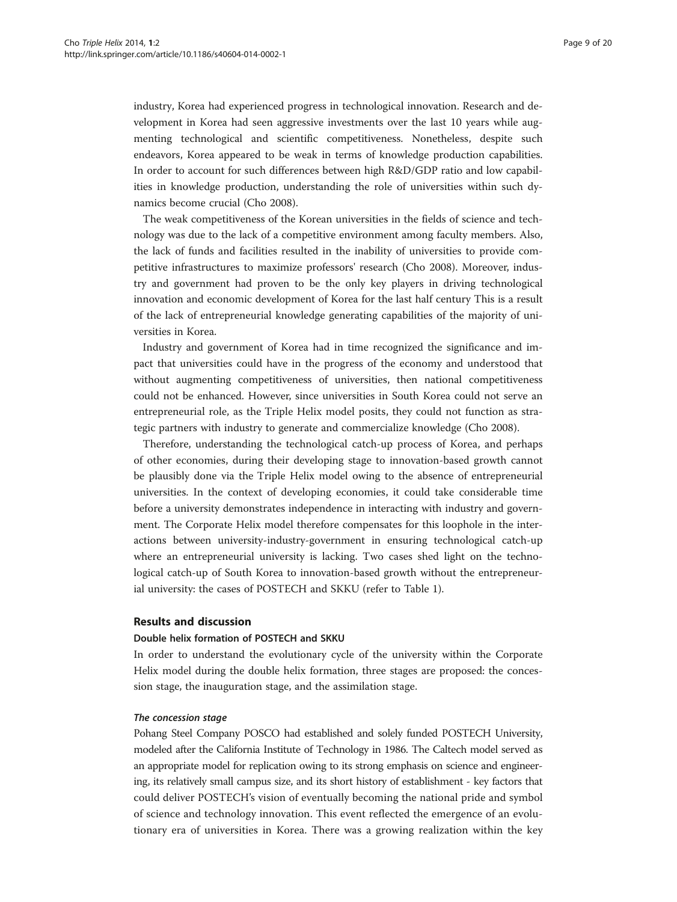<span id="page-8-0"></span>industry, Korea had experienced progress in technological innovation. Research and development in Korea had seen aggressive investments over the last 10 years while augmenting technological and scientific competitiveness. Nonetheless, despite such endeavors, Korea appeared to be weak in terms of knowledge production capabilities. In order to account for such differences between high R&D/GDP ratio and low capabilities in knowledge production, understanding the role of universities within such dynamics become crucial (Cho [2008](#page-18-0)).

The weak competitiveness of the Korean universities in the fields of science and technology was due to the lack of a competitive environment among faculty members. Also, the lack of funds and facilities resulted in the inability of universities to provide competitive infrastructures to maximize professors' research (Cho [2008\)](#page-18-0). Moreover, industry and government had proven to be the only key players in driving technological innovation and economic development of Korea for the last half century This is a result of the lack of entrepreneurial knowledge generating capabilities of the majority of universities in Korea.

Industry and government of Korea had in time recognized the significance and impact that universities could have in the progress of the economy and understood that without augmenting competitiveness of universities, then national competitiveness could not be enhanced. However, since universities in South Korea could not serve an entrepreneurial role, as the Triple Helix model posits, they could not function as strategic partners with industry to generate and commercialize knowledge (Cho [2008\)](#page-18-0).

Therefore, understanding the technological catch-up process of Korea, and perhaps of other economies, during their developing stage to innovation-based growth cannot be plausibly done via the Triple Helix model owing to the absence of entrepreneurial universities. In the context of developing economies, it could take considerable time before a university demonstrates independence in interacting with industry and government. The Corporate Helix model therefore compensates for this loophole in the interactions between university-industry-government in ensuring technological catch-up where an entrepreneurial university is lacking. Two cases shed light on the technological catch-up of South Korea to innovation-based growth without the entrepreneurial university: the cases of POSTECH and SKKU (refer to Table [1](#page-9-0)).

## Results and discussion

# Double helix formation of POSTECH and SKKU

In order to understand the evolutionary cycle of the university within the Corporate Helix model during the double helix formation, three stages are proposed: the concession stage, the inauguration stage, and the assimilation stage.

Pohang Steel Company POSCO had established and solely funded POSTECH University, modeled after the California Institute of Technology in 1986. The Caltech model served as an appropriate model for replication owing to its strong emphasis on science and engineering, its relatively small campus size, and its short history of establishment - key factors that could deliver POSTECH's vision of eventually becoming the national pride and symbol of science and technology innovation. This event reflected the emergence of an evolutionary era of universities in Korea. There was a growing realization within the key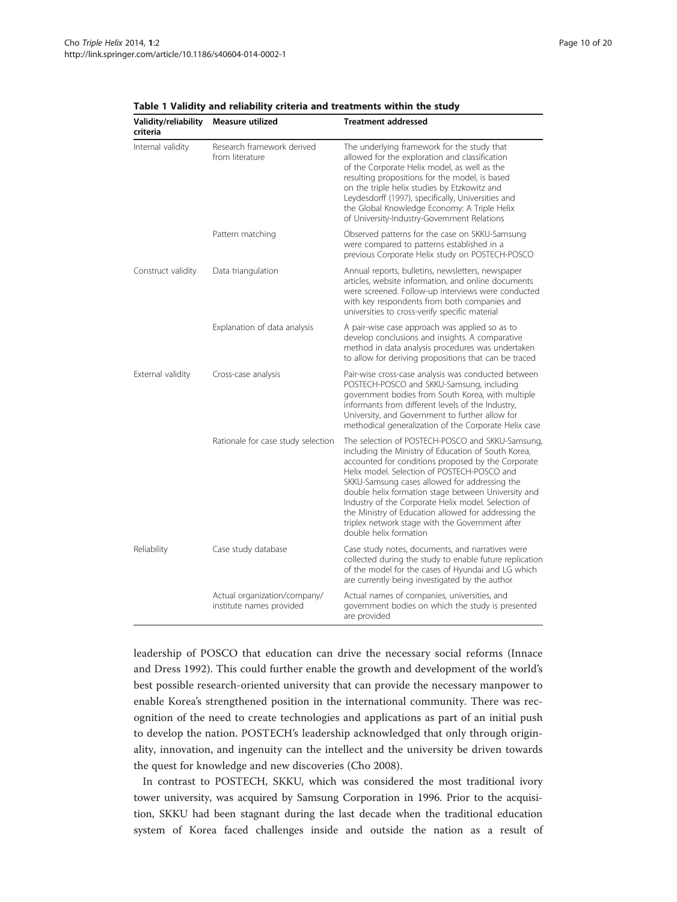| Validity/reliability<br>criteria | Measure utilized                                         | <b>Treatment addressed</b>                                                                                                                                                                                                                                                                                                                                                                                                                                                                                       |
|----------------------------------|----------------------------------------------------------|------------------------------------------------------------------------------------------------------------------------------------------------------------------------------------------------------------------------------------------------------------------------------------------------------------------------------------------------------------------------------------------------------------------------------------------------------------------------------------------------------------------|
| Internal validity                | Research framework derived<br>from literature            | The underlying framework for the study that<br>allowed for the exploration and classification<br>of the Corporate Helix model, as well as the<br>resulting propositions for the model, is based<br>on the triple helix studies by Etzkowitz and<br>Leydesdorff (1997), specifically, Universities and<br>the Global Knowledge Economy: A Triple Helix<br>of University-Industry-Government Relations                                                                                                             |
|                                  | Pattern matching                                         | Observed patterns for the case on SKKU-Samsung<br>were compared to patterns established in a<br>previous Corporate Helix study on POSTECH-POSCO                                                                                                                                                                                                                                                                                                                                                                  |
| Construct validity               | Data triangulation                                       | Annual reports, bulletins, newsletters, newspaper<br>articles, website information, and online documents<br>were screened. Follow-up interviews were conducted<br>with key respondents from both companies and<br>universities to cross-verify specific material                                                                                                                                                                                                                                                 |
|                                  | Explanation of data analysis                             | A pair-wise case approach was applied so as to<br>develop conclusions and insights. A comparative<br>method in data analysis procedures was undertaken<br>to allow for deriving propositions that can be traced                                                                                                                                                                                                                                                                                                  |
| External validity                | Cross-case analysis                                      | Pair-wise cross-case analysis was conducted between<br>POSTECH-POSCO and SKKU-Samsung, including<br>government bodies from South Korea, with multiple<br>informants from different levels of the Industry,<br>University, and Government to further allow for<br>methodical generalization of the Corporate Helix case                                                                                                                                                                                           |
|                                  | Rationale for case study selection                       | The selection of POSTECH-POSCO and SKKU-Samsung,<br>including the Ministry of Education of South Korea,<br>accounted for conditions proposed by the Corporate<br>Helix model. Selection of POSTECH-POSCO and<br>SKKU-Samsung cases allowed for addressing the<br>double helix formation stage between University and<br>Industry of the Corporate Helix model. Selection of<br>the Ministry of Education allowed for addressing the<br>triplex network stage with the Government after<br>double helix formation |
| Reliability                      | Case study database                                      | Case study notes, documents, and narratives were<br>collected during the study to enable future replication<br>of the model for the cases of Hyundai and LG which<br>are currently being investigated by the author                                                                                                                                                                                                                                                                                              |
|                                  | Actual organization/company/<br>institute names provided | Actual names of companies, universities, and<br>government bodies on which the study is presented<br>are provided                                                                                                                                                                                                                                                                                                                                                                                                |

<span id="page-9-0"></span>Table 1 Validity and reliability criteria and treatments within the study

leadership of POSCO that education can drive the necessary social reforms (Innace and Dress [1992\)](#page-18-0). This could further enable the growth and development of the world's best possible research-oriented university that can provide the necessary manpower to enable Korea's strengthened position in the international community. There was recognition of the need to create technologies and applications as part of an initial push to develop the nation. POSTECH's leadership acknowledged that only through originality, innovation, and ingenuity can the intellect and the university be driven towards the quest for knowledge and new discoveries (Cho [2008\)](#page-18-0).

In contrast to POSTECH, SKKU, which was considered the most traditional ivory tower university, was acquired by Samsung Corporation in 1996. Prior to the acquisition, SKKU had been stagnant during the last decade when the traditional education system of Korea faced challenges inside and outside the nation as a result of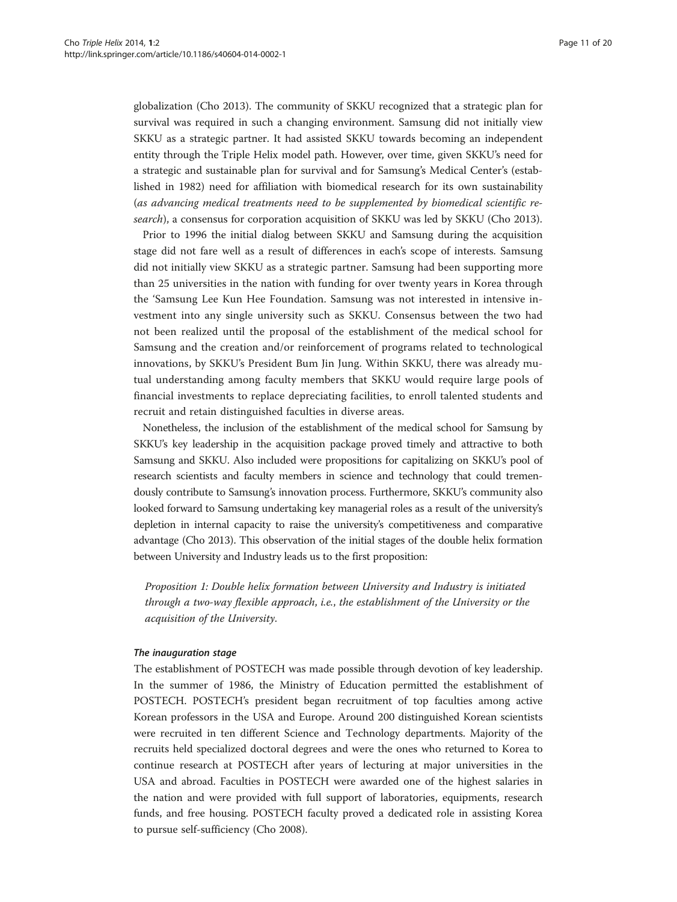globalization (Cho [2013\)](#page-18-0). The community of SKKU recognized that a strategic plan for survival was required in such a changing environment. Samsung did not initially view SKKU as a strategic partner. It had assisted SKKU towards becoming an independent entity through the Triple Helix model path. However, over time, given SKKU's need for a strategic and sustainable plan for survival and for Samsung's Medical Center's (established in 1982) need for affiliation with biomedical research for its own sustainability (as advancing medical treatments need to be supplemented by biomedical scientific research), a consensus for corporation acquisition of SKKU was led by SKKU (Cho [2013\)](#page-18-0).

Prior to 1996 the initial dialog between SKKU and Samsung during the acquisition stage did not fare well as a result of differences in each's scope of interests. Samsung did not initially view SKKU as a strategic partner. Samsung had been supporting more than 25 universities in the nation with funding for over twenty years in Korea through the 'Samsung Lee Kun Hee Foundation. Samsung was not interested in intensive investment into any single university such as SKKU. Consensus between the two had not been realized until the proposal of the establishment of the medical school for Samsung and the creation and/or reinforcement of programs related to technological innovations, by SKKU's President Bum Jin Jung. Within SKKU, there was already mutual understanding among faculty members that SKKU would require large pools of financial investments to replace depreciating facilities, to enroll talented students and recruit and retain distinguished faculties in diverse areas.

Nonetheless, the inclusion of the establishment of the medical school for Samsung by SKKU's key leadership in the acquisition package proved timely and attractive to both Samsung and SKKU. Also included were propositions for capitalizing on SKKU's pool of research scientists and faculty members in science and technology that could tremendously contribute to Samsung's innovation process. Furthermore, SKKU's community also looked forward to Samsung undertaking key managerial roles as a result of the university's depletion in internal capacity to raise the university's competitiveness and comparative advantage (Cho [2013](#page-18-0)). This observation of the initial stages of the double helix formation between University and Industry leads us to the first proposition:

Proposition 1: Double helix formation between University and Industry is initiated through a two-way flexible approach, i.e., the establishment of the University or the acquisition of the University.

The establishment of POSTECH was made possible through devotion of key leadership. In the summer of 1986, the Ministry of Education permitted the establishment of POSTECH. POSTECH's president began recruitment of top faculties among active Korean professors in the USA and Europe. Around 200 distinguished Korean scientists were recruited in ten different Science and Technology departments. Majority of the recruits held specialized doctoral degrees and were the ones who returned to Korea to continue research at POSTECH after years of lecturing at major universities in the USA and abroad. Faculties in POSTECH were awarded one of the highest salaries in the nation and were provided with full support of laboratories, equipments, research funds, and free housing. POSTECH faculty proved a dedicated role in assisting Korea to pursue self-sufficiency (Cho [2008](#page-18-0)).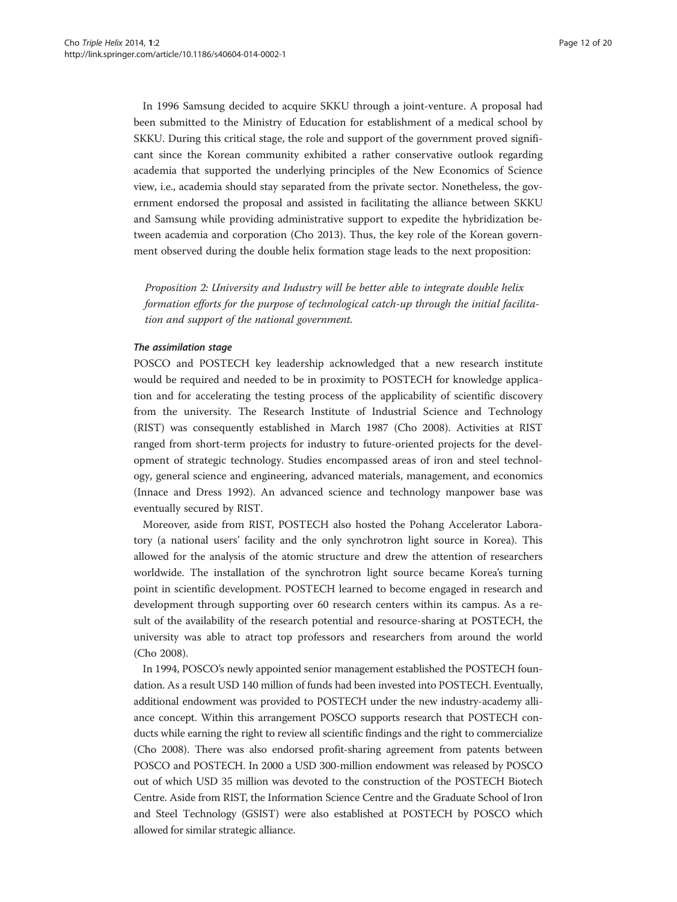In 1996 Samsung decided to acquire SKKU through a joint-venture. A proposal had been submitted to the Ministry of Education for establishment of a medical school by SKKU. During this critical stage, the role and support of the government proved significant since the Korean community exhibited a rather conservative outlook regarding academia that supported the underlying principles of the New Economics of Science view, i.e., academia should stay separated from the private sector. Nonetheless, the government endorsed the proposal and assisted in facilitating the alliance between SKKU and Samsung while providing administrative support to expedite the hybridization between academia and corporation (Cho [2013\)](#page-18-0). Thus, the key role of the Korean government observed during the double helix formation stage leads to the next proposition:

Proposition 2: University and Industry will be better able to integrate double helix formation efforts for the purpose of technological catch-up through the initial facilitation and support of the national government.

POSCO and POSTECH key leadership acknowledged that a new research institute would be required and needed to be in proximity to POSTECH for knowledge application and for accelerating the testing process of the applicability of scientific discovery from the university. The Research Institute of Industrial Science and Technology (RIST) was consequently established in March 1987 (Cho [2008](#page-18-0)). Activities at RIST ranged from short-term projects for industry to future-oriented projects for the development of strategic technology. Studies encompassed areas of iron and steel technology, general science and engineering, advanced materials, management, and economics (Innace and Dress [1992\)](#page-18-0). An advanced science and technology manpower base was eventually secured by RIST.

Moreover, aside from RIST, POSTECH also hosted the Pohang Accelerator Laboratory (a national users' facility and the only synchrotron light source in Korea). This allowed for the analysis of the atomic structure and drew the attention of researchers worldwide. The installation of the synchrotron light source became Korea's turning point in scientific development. POSTECH learned to become engaged in research and development through supporting over 60 research centers within its campus. As a result of the availability of the research potential and resource-sharing at POSTECH, the university was able to atract top professors and researchers from around the world (Cho [2008](#page-18-0)).

In 1994, POSCO's newly appointed senior management established the POSTECH foundation. As a result USD 140 million of funds had been invested into POSTECH. Eventually, additional endowment was provided to POSTECH under the new industry-academy alliance concept. Within this arrangement POSCO supports research that POSTECH conducts while earning the right to review all scientific findings and the right to commercialize (Cho [2008](#page-18-0)). There was also endorsed profit-sharing agreement from patents between POSCO and POSTECH. In 2000 a USD 300-million endowment was released by POSCO out of which USD 35 million was devoted to the construction of the POSTECH Biotech Centre. Aside from RIST, the Information Science Centre and the Graduate School of Iron and Steel Technology (GSIST) were also established at POSTECH by POSCO which allowed for similar strategic alliance.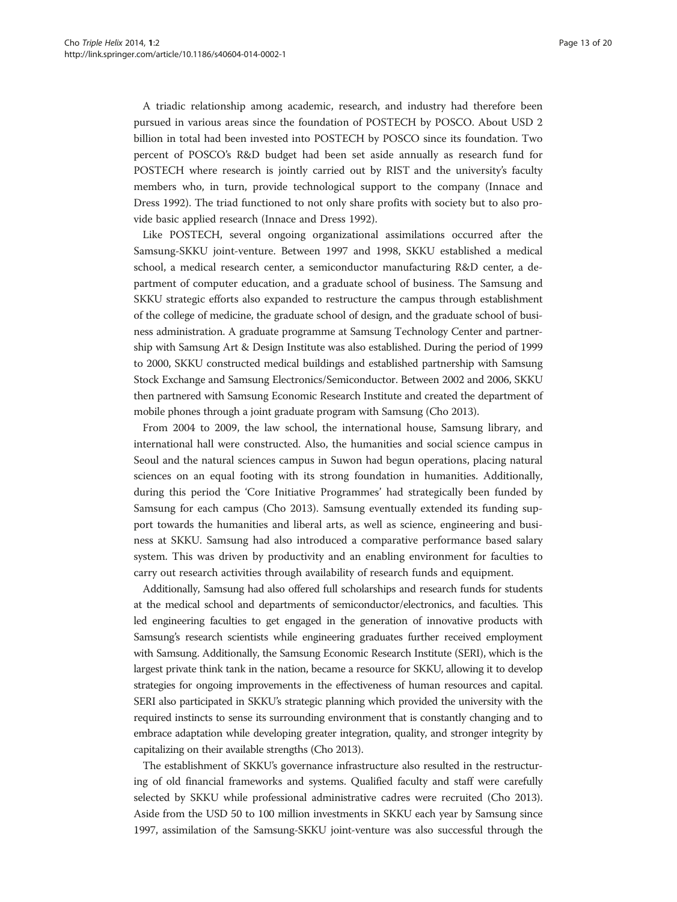A triadic relationship among academic, research, and industry had therefore been pursued in various areas since the foundation of POSTECH by POSCO. About USD 2 billion in total had been invested into POSTECH by POSCO since its foundation. Two percent of POSCO's R&D budget had been set aside annually as research fund for POSTECH where research is jointly carried out by RIST and the university's faculty members who, in turn, provide technological support to the company (Innace and Dress [1992](#page-18-0)). The triad functioned to not only share profits with society but to also provide basic applied research (Innace and Dress [1992\)](#page-18-0).

Like POSTECH, several ongoing organizational assimilations occurred after the Samsung-SKKU joint-venture. Between 1997 and 1998, SKKU established a medical school, a medical research center, a semiconductor manufacturing R&D center, a department of computer education, and a graduate school of business. The Samsung and SKKU strategic efforts also expanded to restructure the campus through establishment of the college of medicine, the graduate school of design, and the graduate school of business administration. A graduate programme at Samsung Technology Center and partnership with Samsung Art & Design Institute was also established. During the period of 1999 to 2000, SKKU constructed medical buildings and established partnership with Samsung Stock Exchange and Samsung Electronics/Semiconductor. Between 2002 and 2006, SKKU then partnered with Samsung Economic Research Institute and created the department of mobile phones through a joint graduate program with Samsung (Cho [2013\)](#page-18-0).

From 2004 to 2009, the law school, the international house, Samsung library, and international hall were constructed. Also, the humanities and social science campus in Seoul and the natural sciences campus in Suwon had begun operations, placing natural sciences on an equal footing with its strong foundation in humanities. Additionally, during this period the 'Core Initiative Programmes' had strategically been funded by Samsung for each campus (Cho [2013](#page-18-0)). Samsung eventually extended its funding support towards the humanities and liberal arts, as well as science, engineering and business at SKKU. Samsung had also introduced a comparative performance based salary system. This was driven by productivity and an enabling environment for faculties to carry out research activities through availability of research funds and equipment.

Additionally, Samsung had also offered full scholarships and research funds for students at the medical school and departments of semiconductor/electronics, and faculties. This led engineering faculties to get engaged in the generation of innovative products with Samsung's research scientists while engineering graduates further received employment with Samsung. Additionally, the Samsung Economic Research Institute (SERI), which is the largest private think tank in the nation, became a resource for SKKU, allowing it to develop strategies for ongoing improvements in the effectiveness of human resources and capital. SERI also participated in SKKU's strategic planning which provided the university with the required instincts to sense its surrounding environment that is constantly changing and to embrace adaptation while developing greater integration, quality, and stronger integrity by capitalizing on their available strengths (Cho [2013\)](#page-18-0).

The establishment of SKKU's governance infrastructure also resulted in the restructuring of old financial frameworks and systems. Qualified faculty and staff were carefully selected by SKKU while professional administrative cadres were recruited (Cho [2013](#page-18-0)). Aside from the USD 50 to 100 million investments in SKKU each year by Samsung since 1997, assimilation of the Samsung-SKKU joint-venture was also successful through the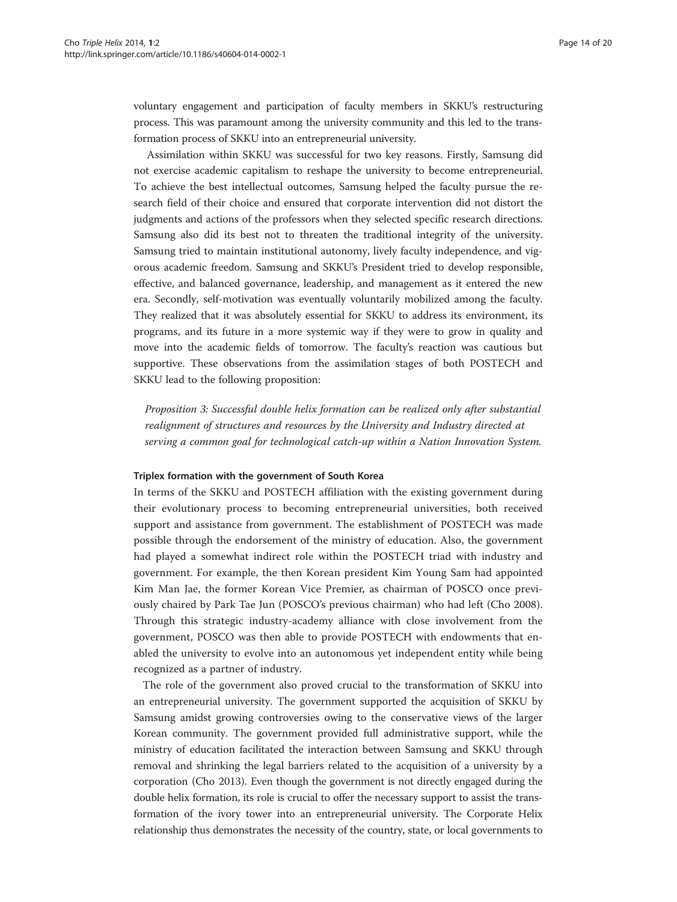voluntary engagement and participation of faculty members in SKKU's restructuring process. This was paramount among the university community and this led to the transformation process of SKKU into an entrepreneurial university.

Assimilation within SKKU was successful for two key reasons. Firstly, Samsung did not exercise academic capitalism to reshape the university to become entrepreneurial. To achieve the best intellectual outcomes, Samsung helped the faculty pursue the research field of their choice and ensured that corporate intervention did not distort the judgments and actions of the professors when they selected specific research directions. Samsung also did its best not to threaten the traditional integrity of the university. Samsung tried to maintain institutional autonomy, lively faculty independence, and vigorous academic freedom. Samsung and SKKU's President tried to develop responsible, effective, and balanced governance, leadership, and management as it entered the new era. Secondly, self-motivation was eventually voluntarily mobilized among the faculty. They realized that it was absolutely essential for SKKU to address its environment, its programs, and its future in a more systemic way if they were to grow in quality and move into the academic fields of tomorrow. The faculty's reaction was cautious but supportive. These observations from the assimilation stages of both POSTECH and SKKU lead to the following proposition:

Proposition 3: Successful double helix formation can be realized only after substantial realignment of structures and resources by the University and Industry directed at serving a common goal for technological catch-up within a Nation Innovation System.

### Triplex formation with the government of South Korea

In terms of the SKKU and POSTECH affiliation with the existing government during their evolutionary process to becoming entrepreneurial universities, both received support and assistance from government. The establishment of POSTECH was made possible through the endorsement of the ministry of education. Also, the government had played a somewhat indirect role within the POSTECH triad with industry and government. For example, the then Korean president Kim Young Sam had appointed Kim Man Jae, the former Korean Vice Premier, as chairman of POSCO once previously chaired by Park Tae Jun (POSCO's previous chairman) who had left (Cho [2008](#page-18-0)). Through this strategic industry-academy alliance with close involvement from the government, POSCO was then able to provide POSTECH with endowments that enabled the university to evolve into an autonomous yet independent entity while being recognized as a partner of industry.

The role of the government also proved crucial to the transformation of SKKU into an entrepreneurial university. The government supported the acquisition of SKKU by Samsung amidst growing controversies owing to the conservative views of the larger Korean community. The government provided full administrative support, while the ministry of education facilitated the interaction between Samsung and SKKU through removal and shrinking the legal barriers related to the acquisition of a university by a corporation (Cho [2013](#page-18-0)). Even though the government is not directly engaged during the double helix formation, its role is crucial to offer the necessary support to assist the transformation of the ivory tower into an entrepreneurial university. The Corporate Helix relationship thus demonstrates the necessity of the country, state, or local governments to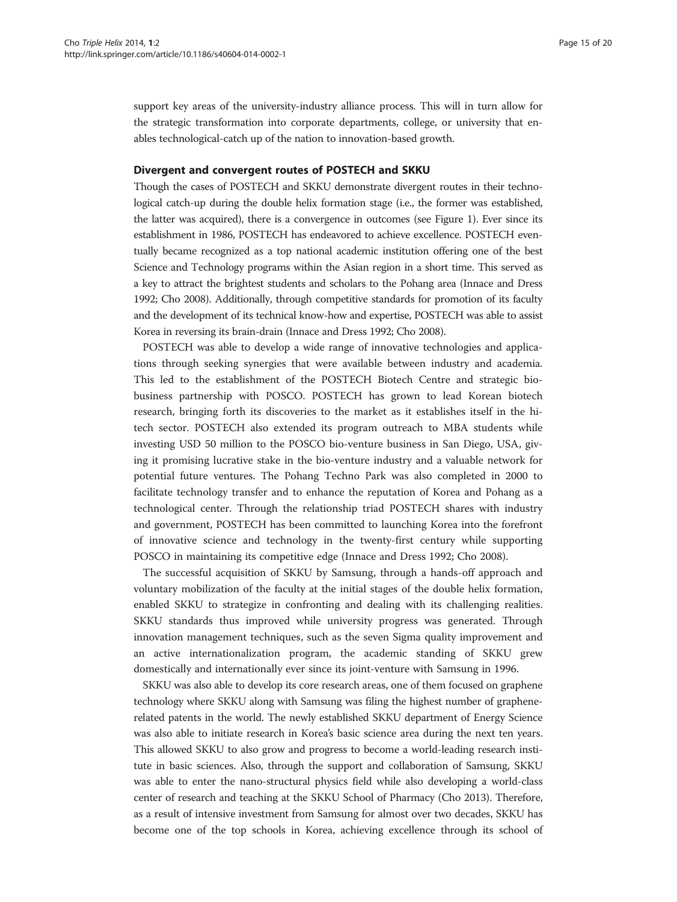support key areas of the university-industry alliance process. This will in turn allow for the strategic transformation into corporate departments, college, or university that enables technological-catch up of the nation to innovation-based growth.

# Divergent and convergent routes of POSTECH and SKKU

Though the cases of POSTECH and SKKU demonstrate divergent routes in their technological catch-up during the double helix formation stage (i.e., the former was established, the latter was acquired), there is a convergence in outcomes (see Figure [1\)](#page-15-0). Ever since its establishment in 1986, POSTECH has endeavored to achieve excellence. POSTECH eventually became recognized as a top national academic institution offering one of the best Science and Technology programs within the Asian region in a short time. This served as a key to attract the brightest students and scholars to the Pohang area (Innace and Dress [1992;](#page-18-0) Cho [2008\)](#page-18-0). Additionally, through competitive standards for promotion of its faculty and the development of its technical know-how and expertise, POSTECH was able to assist Korea in reversing its brain-drain (Innace and Dress [1992](#page-18-0); Cho [2008](#page-18-0)).

POSTECH was able to develop a wide range of innovative technologies and applications through seeking synergies that were available between industry and academia. This led to the establishment of the POSTECH Biotech Centre and strategic biobusiness partnership with POSCO. POSTECH has grown to lead Korean biotech research, bringing forth its discoveries to the market as it establishes itself in the hitech sector. POSTECH also extended its program outreach to MBA students while investing USD 50 million to the POSCO bio-venture business in San Diego, USA, giving it promising lucrative stake in the bio-venture industry and a valuable network for potential future ventures. The Pohang Techno Park was also completed in 2000 to facilitate technology transfer and to enhance the reputation of Korea and Pohang as a technological center. Through the relationship triad POSTECH shares with industry and government, POSTECH has been committed to launching Korea into the forefront of innovative science and technology in the twenty-first century while supporting POSCO in maintaining its competitive edge (Innace and Dress [1992](#page-18-0); Cho [2008](#page-18-0)).

The successful acquisition of SKKU by Samsung, through a hands-off approach and voluntary mobilization of the faculty at the initial stages of the double helix formation, enabled SKKU to strategize in confronting and dealing with its challenging realities. SKKU standards thus improved while university progress was generated. Through innovation management techniques, such as the seven Sigma quality improvement and an active internationalization program, the academic standing of SKKU grew domestically and internationally ever since its joint-venture with Samsung in 1996.

SKKU was also able to develop its core research areas, one of them focused on graphene technology where SKKU along with Samsung was filing the highest number of graphenerelated patents in the world. The newly established SKKU department of Energy Science was also able to initiate research in Korea's basic science area during the next ten years. This allowed SKKU to also grow and progress to become a world-leading research institute in basic sciences. Also, through the support and collaboration of Samsung, SKKU was able to enter the nano-structural physics field while also developing a world-class center of research and teaching at the SKKU School of Pharmacy (Cho [2013\)](#page-18-0). Therefore, as a result of intensive investment from Samsung for almost over two decades, SKKU has become one of the top schools in Korea, achieving excellence through its school of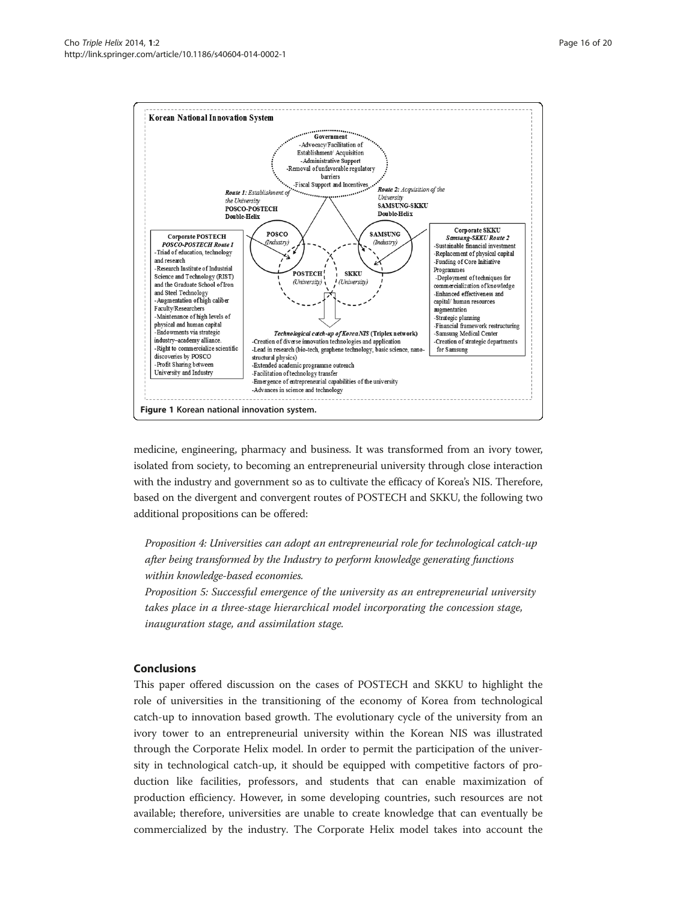

<span id="page-15-0"></span>

medicine, engineering, pharmacy and business. It was transformed from an ivory tower, isolated from society, to becoming an entrepreneurial university through close interaction with the industry and government so as to cultivate the efficacy of Korea's NIS. Therefore, based on the divergent and convergent routes of POSTECH and SKKU, the following two additional propositions can be offered:

Proposition 4: Universities can adopt an entrepreneurial role for technological catch-up after being transformed by the Industry to perform knowledge generating functions within knowledge-based economies.

Proposition 5: Successful emergence of the university as an entrepreneurial university takes place in a three-stage hierarchical model incorporating the concession stage, inauguration stage, and assimilation stage.

# Conclusions

This paper offered discussion on the cases of POSTECH and SKKU to highlight the role of universities in the transitioning of the economy of Korea from technological catch-up to innovation based growth. The evolutionary cycle of the university from an ivory tower to an entrepreneurial university within the Korean NIS was illustrated through the Corporate Helix model. In order to permit the participation of the university in technological catch-up, it should be equipped with competitive factors of production like facilities, professors, and students that can enable maximization of production efficiency. However, in some developing countries, such resources are not available; therefore, universities are unable to create knowledge that can eventually be commercialized by the industry. The Corporate Helix model takes into account the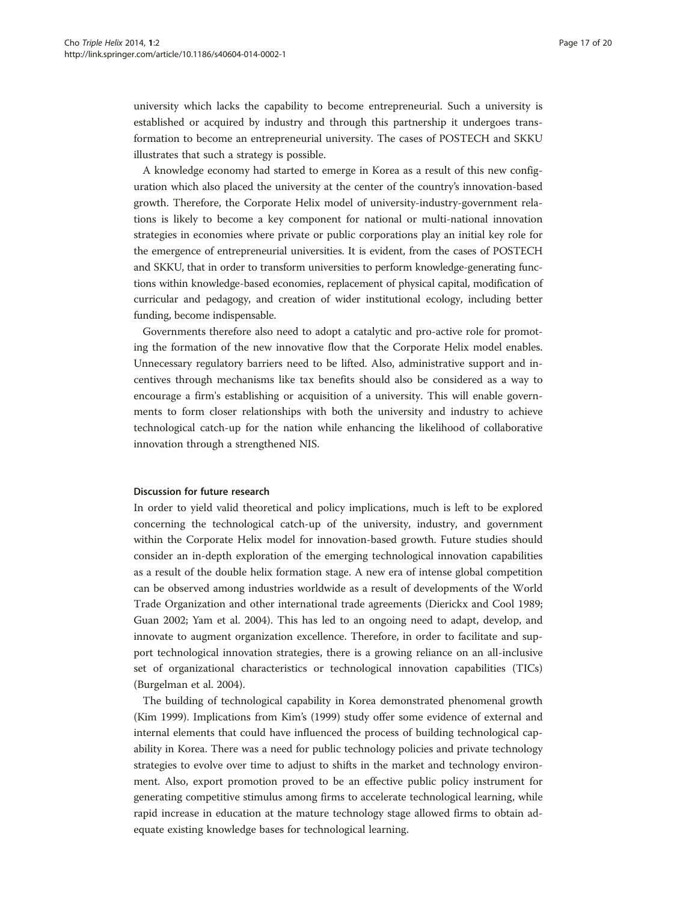university which lacks the capability to become entrepreneurial. Such a university is established or acquired by industry and through this partnership it undergoes transformation to become an entrepreneurial university. The cases of POSTECH and SKKU illustrates that such a strategy is possible.

A knowledge economy had started to emerge in Korea as a result of this new configuration which also placed the university at the center of the country's innovation-based growth. Therefore, the Corporate Helix model of university-industry-government relations is likely to become a key component for national or multi-national innovation strategies in economies where private or public corporations play an initial key role for the emergence of entrepreneurial universities. It is evident, from the cases of POSTECH and SKKU, that in order to transform universities to perform knowledge-generating functions within knowledge-based economies, replacement of physical capital, modification of curricular and pedagogy, and creation of wider institutional ecology, including better funding, become indispensable.

Governments therefore also need to adopt a catalytic and pro-active role for promoting the formation of the new innovative flow that the Corporate Helix model enables. Unnecessary regulatory barriers need to be lifted. Also, administrative support and incentives through mechanisms like tax benefits should also be considered as a way to encourage a firm's establishing or acquisition of a university. This will enable governments to form closer relationships with both the university and industry to achieve technological catch-up for the nation while enhancing the likelihood of collaborative innovation through a strengthened NIS.

## Discussion for future research

In order to yield valid theoretical and policy implications, much is left to be explored concerning the technological catch-up of the university, industry, and government within the Corporate Helix model for innovation-based growth. Future studies should consider an in-depth exploration of the emerging technological innovation capabilities as a result of the double helix formation stage. A new era of intense global competition can be observed among industries worldwide as a result of developments of the World Trade Organization and other international trade agreements (Dierickx and Cool [1989](#page-18-0); Guan [2002](#page-18-0); Yam et al. [2004\)](#page-19-0). This has led to an ongoing need to adapt, develop, and innovate to augment organization excellence. Therefore, in order to facilitate and support technological innovation strategies, there is a growing reliance on an all-inclusive set of organizational characteristics or technological innovation capabilities (TICs) (Burgelman et al. [2004](#page-18-0)).

The building of technological capability in Korea demonstrated phenomenal growth (Kim [1999](#page-18-0)). Implications from Kim's ([1999](#page-18-0)) study offer some evidence of external and internal elements that could have influenced the process of building technological capability in Korea. There was a need for public technology policies and private technology strategies to evolve over time to adjust to shifts in the market and technology environment. Also, export promotion proved to be an effective public policy instrument for generating competitive stimulus among firms to accelerate technological learning, while rapid increase in education at the mature technology stage allowed firms to obtain adequate existing knowledge bases for technological learning.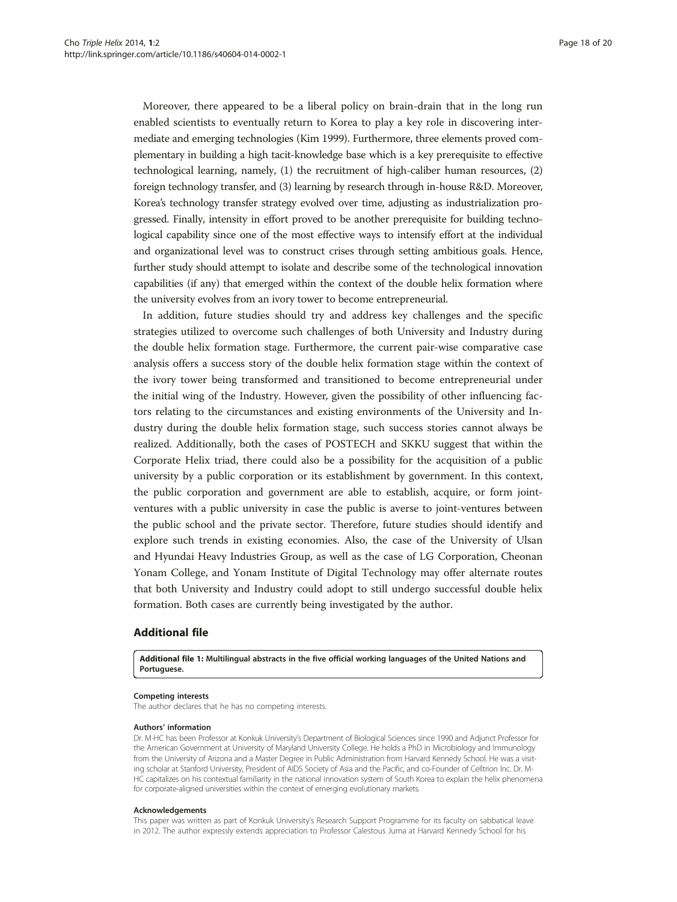<span id="page-17-0"></span>Moreover, there appeared to be a liberal policy on brain-drain that in the long run enabled scientists to eventually return to Korea to play a key role in discovering intermediate and emerging technologies (Kim [1999\)](#page-18-0). Furthermore, three elements proved complementary in building a high tacit-knowledge base which is a key prerequisite to effective technological learning, namely, (1) the recruitment of high-caliber human resources, (2) foreign technology transfer, and (3) learning by research through in-house R&D. Moreover, Korea's technology transfer strategy evolved over time, adjusting as industrialization progressed. Finally, intensity in effort proved to be another prerequisite for building technological capability since one of the most effective ways to intensify effort at the individual and organizational level was to construct crises through setting ambitious goals. Hence, further study should attempt to isolate and describe some of the technological innovation capabilities (if any) that emerged within the context of the double helix formation where the university evolves from an ivory tower to become entrepreneurial.

In addition, future studies should try and address key challenges and the specific strategies utilized to overcome such challenges of both University and Industry during the double helix formation stage. Furthermore, the current pair-wise comparative case analysis offers a success story of the double helix formation stage within the context of the ivory tower being transformed and transitioned to become entrepreneurial under the initial wing of the Industry. However, given the possibility of other influencing factors relating to the circumstances and existing environments of the University and Industry during the double helix formation stage, such success stories cannot always be realized. Additionally, both the cases of POSTECH and SKKU suggest that within the Corporate Helix triad, there could also be a possibility for the acquisition of a public university by a public corporation or its establishment by government. In this context, the public corporation and government are able to establish, acquire, or form jointventures with a public university in case the public is averse to joint-ventures between the public school and the private sector. Therefore, future studies should identify and explore such trends in existing economies. Also, the case of the University of Ulsan and Hyundai Heavy Industries Group, as well as the case of LG Corporation, Cheonan Yonam College, and Yonam Institute of Digital Technology may offer alternate routes that both University and Industry could adopt to still undergo successful double helix formation. Both cases are currently being investigated by the author.

# Additional file

[Additional file 1:](http://dx.doi.org/10.1186/s40604-014-0002-1) Multilingual abstracts in the five official working languages of the United Nations and Portuguese.

### Competing interests

The author declares that he has no competing interests.

### Authors' information

Dr. M-HC has been Professor at Konkuk University's Department of Biological Sciences since 1990 and Adjunct Professor for the American Government at University of Maryland University College. He holds a PhD in Microbiology and Immunology from the University of Arizona and a Master Degree in Public Administration from Harvard Kennedy School. He was a visiting scholar at Stanford University, President of AIDS Society of Asia and the Pacific, and co-Founder of Celltrion Inc. Dr. M-HC capitalizes on his contextual familiarity in the national innovation system of South Korea to explain the helix phenomena for corporate-aligned universities within the context of emerging evolutionary markets.

### Acknowledgements

This paper was written as part of Konkuk University's Research Support Programme for its faculty on sabbatical leave in 2012. The author expressly extends appreciation to Professor Calestous Juma at Harvard Kennedy School for his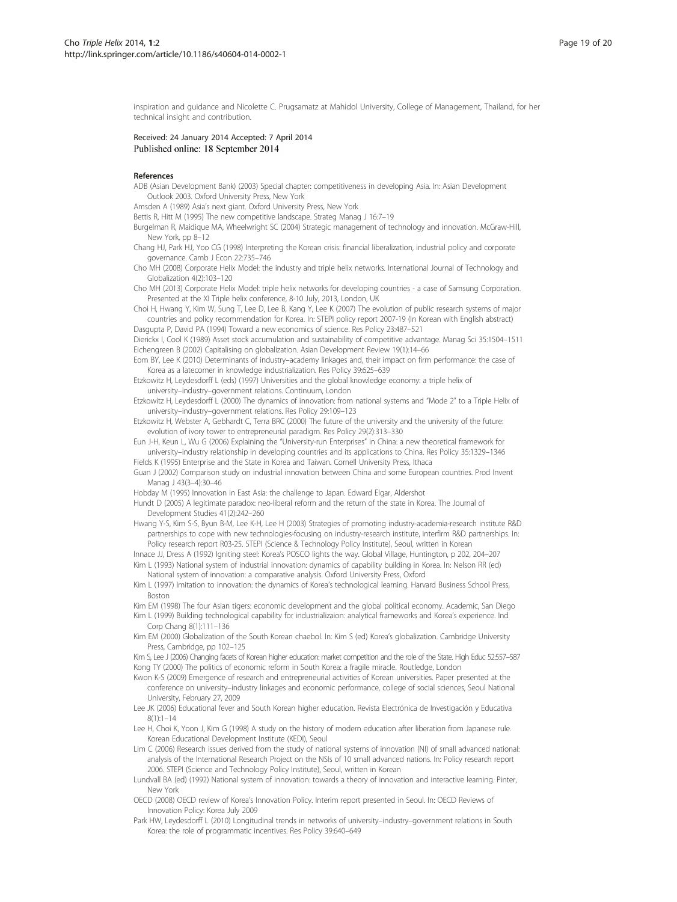<span id="page-18-0"></span>inspiration and guidance and Nicolette C. Prugsamatz at Mahidol University, College of Management, Thailand, for her technical insight and contribution.

### Received: 24 January 2014 Accepted: 7 April 2014 Published online: 18 September 2014

### References

ADB (Asian Development Bank) (2003) Special chapter: competitiveness in developing Asia. In: Asian Development Outlook 2003. Oxford University Press, New York

Amsden A (1989) Asia's next giant. Oxford University Press, New York

Bettis R, Hitt M (1995) The new competitive landscape. Strateg Manag J 16:7–19

Burgelman R, Maidique MA, Wheelwright SC (2004) Strategic management of technology and innovation. McGraw-Hill, New York, pp 8–12

Chang HJ, Park HJ, Yoo CG (1998) Interpreting the Korean crisis: financial liberalization, industrial policy and corporate governance. Camb J Econ 22:735–746

Cho MH (2008) Corporate Helix Model: the industry and triple helix networks. International Journal of Technology and Globalization 4(2):103–120

Cho MH (2013) Corporate Helix Model: triple helix networks for developing countries - a case of Samsung Corporation. Presented at the XI Triple helix conference, 8-10 July, 2013, London, UK

Choi H, Hwang Y, Kim W, Sung T, Lee D, Lee B, Kang Y, Lee K (2007) The evolution of public research systems of major countries and policy recommendation for Korea. In: STEPI policy report 2007-19 (In Korean with English abstract) Dasgupta P, David PA (1994) Toward a new economics of science. Res Policy 23:487–521

Dierickx I, Cool K (1989) Asset stock accumulation and sustainability of competitive advantage. Manag Sci 35:1504–1511 Eichengreen B (2002) Capitalising on globalization. Asian Development Review 19(1):14–66

Eom BY, Lee K (2010) Determinants of industry–academy linkages and, their impact on firm performance: the case of Korea as a latecomer in knowledge industrialization. Res Policy 39:625–639

Etzkowitz H, Leydesdorff L (eds) (1997) Universities and the global knowledge economy: a triple helix of university–industry–government relations. Continuum, London

Etzkowitz H, Leydesdorff L (2000) The dynamics of innovation: from national systems and "Mode 2" to a Triple Helix of university–industry–government relations. Res Policy 29:109–123

Etzkowitz H, Webster A, Gebhardt C, Terra BRC (2000) The future of the university and the university of the future: evolution of ivory tower to entrepreneurial paradigm. Res Policy 29(2):313–330

- Eun J-H, Keun L, Wu G (2006) Explaining the "University-run Enterprises" in China: a new theoretical framework for university–industry relationship in developing countries and its applications to China. Res Policy 35:1329–1346 Fields K (1995) Enterprise and the State in Korea and Taiwan. Cornell University Press, Ithaca
- Guan J (2002) Comparison study on industrial innovation between China and some European countries. Prod Invent Manag J 43(3–4):30–46

Hobday M (1995) Innovation in East Asia: the challenge to Japan. Edward Elgar, Aldershot

Hundt D (2005) A legitimate paradox: neo-liberal reform and the return of the state in Korea. The Journal of Development Studies 41(2):242–260

Hwang Y-S, Kim S-S, Byun B-M, Lee K-H, Lee H (2003) Strategies of promoting industry-academia-research institute R&D partnerships to cope with new technologies-focusing on industry-research institute, interfirm R&D partnerships. In: Policy research report R03-25. STEPI (Science & Technology Policy Institute), Seoul, written in Korean

- Innace JJ, Dress A (1992) Igniting steel: Korea's POSCO lights the way. Global Village, Huntington, p 202, 204–207 Kim L (1993) National system of industrial innovation: dynamics of capability building in Korea. In: Nelson RR (ed) National system of innovation: a comparative analysis. Oxford University Press, Oxford
- Kim L (1997) Imitation to innovation: the dynamics of Korea's technological learning. Harvard Business School Press, Boston

Kim EM (1998) The four Asian tigers: economic development and the global political economy. Academic, San Diego

Kim L (1999) Building technological capability for industrializaion: analytical frameworks and Korea's experience. Ind Corp Chang 8(1):111–136

Kim EM (2000) Globalization of the South Korean chaebol. In: Kim S (ed) Korea's globalization. Cambridge University Press, Cambridge, pp 102–125

Kim S, Lee J (2006) Changing facets of Korean higher education: market competition and the role of the State. High Educ 52:557–587 Kong TY (2000) The politics of economic reform in South Korea: a fragile miracle. Routledge, London

Kwon K-S (2009) Emergence of research and entrepreneurial activities of Korean universities. Paper presented at the conference on university–industry linkages and economic performance, college of social sciences, Seoul National University, February 27, 2009

Lee JK (2006) Educational fever and South Korean higher education. Revista Electrónica de Investigación y Educativa 8(1):1–14

Lee H, Choi K, Yoon J, Kim G (1998) A study on the history of modern education after liberation from Japanese rule. Korean Educational Development Institute (KEDI), Seoul

Lim C (2006) Research issues derived from the study of national systems of innovation (NI) of small advanced national: analysis of the International Research Project on the NSIs of 10 small advanced nations. In: Policy research report 2006. STEPI (Science and Technology Policy Institute), Seoul, written in Korean

Lundvall BA (ed) (1992) National system of innovation: towards a theory of innovation and interactive learning. Pinter, New York

OECD (2008) OECD review of Korea's Innovation Policy. Interim report presented in Seoul. In: OECD Reviews of Innovation Policy: Korea July 2009

Park HW, Leydesdorff L (2010) Longitudinal trends in networks of university–industry–government relations in South Korea: the role of programmatic incentives. Res Policy 39:640–649